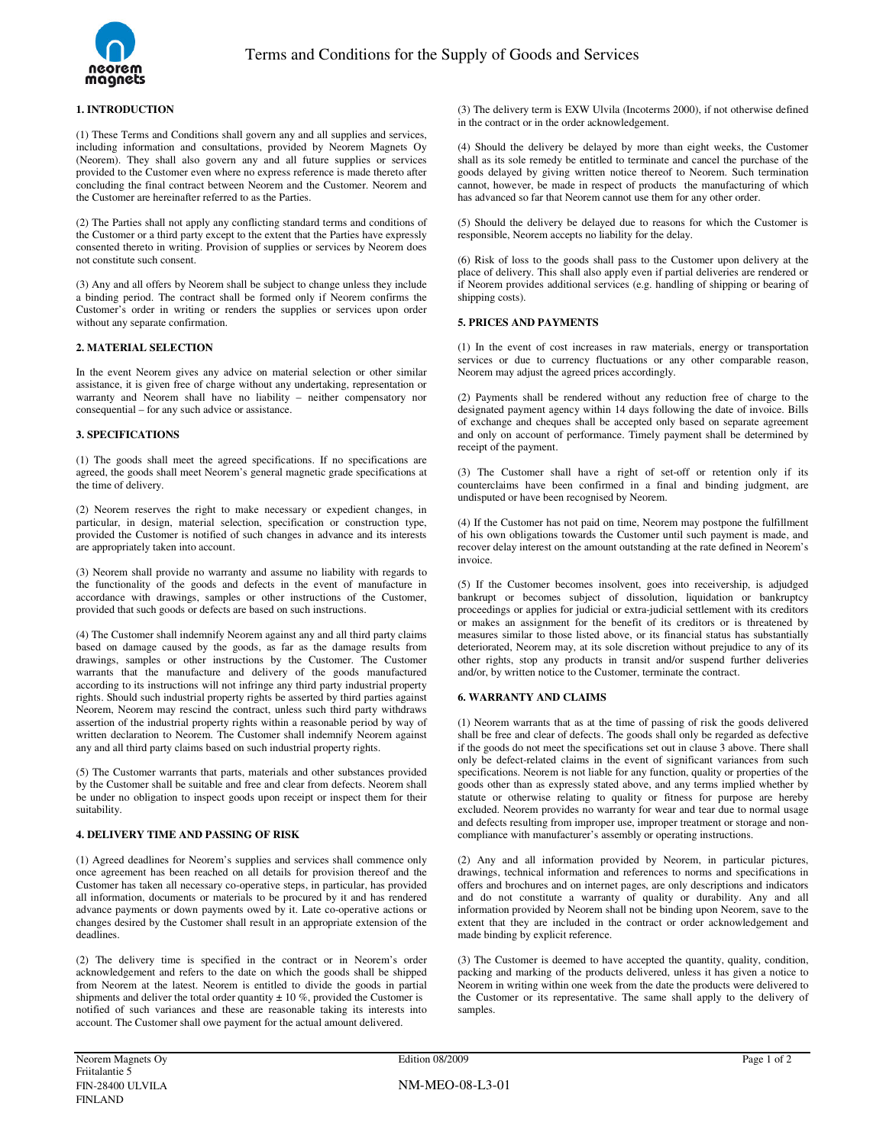

## **1. INTRODUCTION**

(1) These Terms and Conditions shall govern any and all supplies and services, including information and consultations, provided by Neorem Magnets Oy (Neorem). They shall also govern any and all future supplies or services provided to the Customer even where no express reference is made thereto after concluding the final contract between Neorem and the Customer. Neorem and the Customer are hereinafter referred to as the Parties.

(2) The Parties shall not apply any conflicting standard terms and conditions of the Customer or a third party except to the extent that the Parties have expressly consented thereto in writing. Provision of supplies or services by Neorem does not constitute such consent.

(3) Any and all offers by Neorem shall be subject to change unless they include a binding period. The contract shall be formed only if Neorem confirms the Customer's order in writing or renders the supplies or services upon order without any separate confirmation.

## **2. MATERIAL SELECTION**

In the event Neorem gives any advice on material selection or other similar assistance, it is given free of charge without any undertaking, representation or warranty and Neorem shall have no liability – neither compensatory nor consequential – for any such advice or assistance.

### **3. SPECIFICATIONS**

(1) The goods shall meet the agreed specifications. If no specifications are agreed, the goods shall meet Neorem's general magnetic grade specifications at the time of delivery.

(2) Neorem reserves the right to make necessary or expedient changes, in particular, in design, material selection, specification or construction type, provided the Customer is notified of such changes in advance and its interests are appropriately taken into account.

(3) Neorem shall provide no warranty and assume no liability with regards to the functionality of the goods and defects in the event of manufacture in accordance with drawings, samples or other instructions of the Customer, provided that such goods or defects are based on such instructions.

(4) The Customer shall indemnify Neorem against any and all third party claims based on damage caused by the goods, as far as the damage results from drawings, samples or other instructions by the Customer. The Customer warrants that the manufacture and delivery of the goods manufactured according to its instructions will not infringe any third party industrial property rights. Should such industrial property rights be asserted by third parties against Neorem, Neorem may rescind the contract, unless such third party withdraws assertion of the industrial property rights within a reasonable period by way of written declaration to Neorem. The Customer shall indemnify Neorem against any and all third party claims based on such industrial property rights.

(5) The Customer warrants that parts, materials and other substances provided by the Customer shall be suitable and free and clear from defects. Neorem shall be under no obligation to inspect goods upon receipt or inspect them for their suitability.

# **4. DELIVERY TIME AND PASSING OF RISK**

(1) Agreed deadlines for Neorem's supplies and services shall commence only once agreement has been reached on all details for provision thereof and the Customer has taken all necessary co-operative steps, in particular, has provided all information, documents or materials to be procured by it and has rendered advance payments or down payments owed by it. Late co-operative actions or changes desired by the Customer shall result in an appropriate extension of the deadlines.

(2) The delivery time is specified in the contract or in Neorem's order acknowledgement and refers to the date on which the goods shall be shipped from Neorem at the latest. Neorem is entitled to divide the goods in partial shipments and deliver the total order quantity  $\pm 10$  %, provided the Customer is notified of such variances and these are reasonable taking its interests into account. The Customer shall owe payment for the actual amount delivered.

(3) The delivery term is EXW Ulvila (Incoterms 2000), if not otherwise defined in the contract or in the order acknowledgement.

(4) Should the delivery be delayed by more than eight weeks, the Customer shall as its sole remedy be entitled to terminate and cancel the purchase of the goods delayed by giving written notice thereof to Neorem. Such termination cannot, however, be made in respect of products the manufacturing of which has advanced so far that Neorem cannot use them for any other order.

(5) Should the delivery be delayed due to reasons for which the Customer is responsible, Neorem accepts no liability for the delay.

(6) Risk of loss to the goods shall pass to the Customer upon delivery at the place of delivery. This shall also apply even if partial deliveries are rendered or if Neorem provides additional services (e.g. handling of shipping or bearing of shipping costs).

#### **5. PRICES AND PAYMENTS**

(1) In the event of cost increases in raw materials, energy or transportation services or due to currency fluctuations or any other comparable reason, Neorem may adjust the agreed prices accordingly.

(2) Payments shall be rendered without any reduction free of charge to the designated payment agency within 14 days following the date of invoice. Bills of exchange and cheques shall be accepted only based on separate agreement and only on account of performance. Timely payment shall be determined by receipt of the payment.

(3) The Customer shall have a right of set-off or retention only if its counterclaims have been confirmed in a final and binding judgment, are undisputed or have been recognised by Neorem.

(4) If the Customer has not paid on time, Neorem may postpone the fulfillment of his own obligations towards the Customer until such payment is made, and recover delay interest on the amount outstanding at the rate defined in Neorem's invoice.

(5) If the Customer becomes insolvent, goes into receivership, is adjudged bankrupt or becomes subject of dissolution, liquidation or bankruptcy proceedings or applies for judicial or extra-judicial settlement with its creditors or makes an assignment for the benefit of its creditors or is threatened by measures similar to those listed above, or its financial status has substantially deteriorated, Neorem may, at its sole discretion without prejudice to any of its other rights, stop any products in transit and/or suspend further deliveries and/or, by written notice to the Customer, terminate the contract.

## **6. WARRANTY AND CLAIMS**

(1) Neorem warrants that as at the time of passing of risk the goods delivered shall be free and clear of defects. The goods shall only be regarded as defective if the goods do not meet the specifications set out in clause 3 above. There shall only be defect-related claims in the event of significant variances from such specifications. Neorem is not liable for any function, quality or properties of the goods other than as expressly stated above, and any terms implied whether by statute or otherwise relating to quality or fitness for purpose are hereby excluded. Neorem provides no warranty for wear and tear due to normal usage and defects resulting from improper use, improper treatment or storage and noncompliance with manufacturer's assembly or operating instructions.

(2) Any and all information provided by Neorem, in particular pictures, drawings, technical information and references to norms and specifications in offers and brochures and on internet pages, are only descriptions and indicators and do not constitute a warranty of quality or durability. Any and all information provided by Neorem shall not be binding upon Neorem, save to the extent that they are included in the contract or order acknowledgement and made binding by explicit reference.

(3) The Customer is deemed to have accepted the quantity, quality, condition, packing and marking of the products delivered, unless it has given a notice to Neorem in writing within one week from the date the products were delivered to the Customer or its representative. The same shall apply to the delivery of samples.